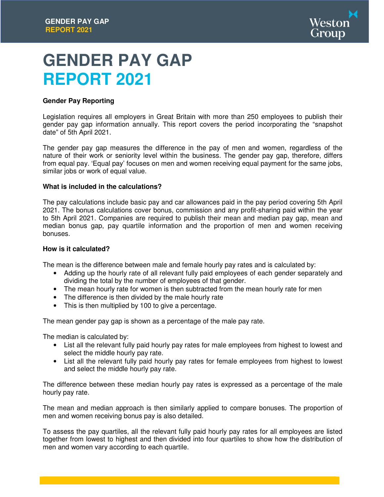

# **GENDER PAY GAP REPORT 2021**

# **Gender Pay Reporting**

Legislation requires all employers in Great Britain with more than 250 employees to publish their gender pay gap information annually. This report covers the period incorporating the "snapshot date" of 5th April 2021.

The gender pay gap measures the difference in the pay of men and women, regardless of the nature of their work or seniority level within the business. The gender pay gap, therefore, differs from equal pay. 'Equal pay' focuses on men and women receiving equal payment for the same jobs, similar jobs or work of equal value.

# **What is included in the calculations?**

The pay calculations include basic pay and car allowances paid in the pay period covering 5th April 2021. The bonus calculations cover bonus, commission and any profit-sharing paid within the year to 5th April 2021. Companies are required to publish their mean and median pay gap, mean and median bonus gap, pay quartile information and the proportion of men and women receiving bonuses.

# **How is it calculated?**

The mean is the difference between male and female hourly pay rates and is calculated by:

- Adding up the hourly rate of all relevant fully paid employees of each gender separately and dividing the total by the number of employees of that gender.
- The mean hourly rate for women is then subtracted from the mean hourly rate for men
- The difference is then divided by the male hourly rate
- This is then multiplied by 100 to give a percentage.

The mean gender pay gap is shown as a percentage of the male pay rate.

The median is calculated by:

- List all the relevant fully paid hourly pay rates for male employees from highest to lowest and select the middle hourly pay rate.
- List all the relevant fully paid hourly pay rates for female employees from highest to lowest and select the middle hourly pay rate.

The difference between these median hourly pay rates is expressed as a percentage of the male hourly pay rate.

The mean and median approach is then similarly applied to compare bonuses. The proportion of men and women receiving bonus pay is also detailed.

To assess the pay quartiles, all the relevant fully paid hourly pay rates for all employees are listed together from lowest to highest and then divided into four quartiles to show how the distribution of men and women vary according to each quartile.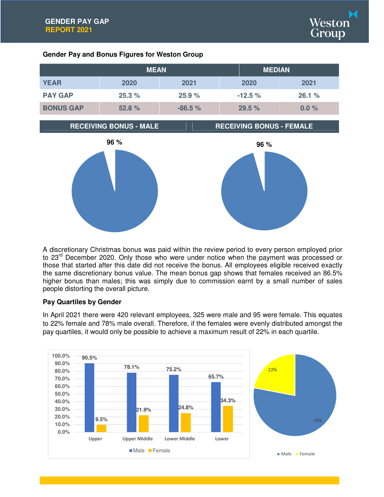

# **Gender Pay and Bonus Figures for Weston Group**

|                  | <b>MEAN</b> |          | <b>MEDIAN</b> |          |
|------------------|-------------|----------|---------------|----------|
| <b>YEAR</b>      | 2020        | 2021     | 2020          | 2021     |
| <b>PAY GAP</b>   | 25.3%       | 25.9%    | $-12.5%$      | 26.1%    |
| <b>BONUS GAP</b> | 52.8%       | $-86.5%$ | 29.5%         | $0.0 \%$ |







A discretionary Christmas bonus was paid within the review period to every person employed prior to 23<sup>rd</sup> December 2020. Only those who were under notice when the payment was processed or those that started after this date did not receive the bonus. All employees eligible received exactly the same discretionary bonus value. The mean bonus gap shows that females received an 86.5% higher bonus than males; this was simply due to commission earnt by a small number of sales people distorting the overall picture.

# **Pay Quartiles by Gender**

In April 2021 there were 420 relevant employees, 325 were male and 95 were female. This equates to 22% female and 78% male overall. Therefore, if the females were evenly distributed amongst the pay quartiles, it would only be possible to achieve a maximum result of 22% in each quartile.

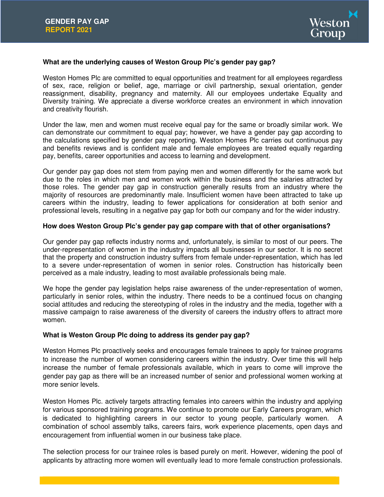

# **What are the underlying causes of Weston Group Plc's gender pay gap?**

Weston Homes Plc are committed to equal opportunities and treatment for all employees regardless of sex, race, religion or belief, age, marriage or civil partnership, sexual orientation, gender reassignment, disability, pregnancy and maternity. All our employees undertake Equality and Diversity training. We appreciate a diverse workforce creates an environment in which innovation and creativity flourish.

Under the law, men and women must receive equal pay for the same or broadly similar work. We can demonstrate our commitment to equal pay; however, we have a gender pay gap according to the calculations specified by gender pay reporting. Weston Homes Plc carries out continuous pay and benefits reviews and is confident male and female employees are treated equally regarding pay, benefits, career opportunities and access to learning and development.

Our gender pay gap does not stem from paying men and women differently for the same work but due to the roles in which men and women work within the business and the salaries attracted by those roles. The gender pay gap in construction generally results from an industry where the majority of resources are predominantly male. Insufficient women have been attracted to take up careers within the industry, leading to fewer applications for consideration at both senior and professional levels, resulting in a negative pay gap for both our company and for the wider industry.

# **How does Weston Group Plc's gender pay gap compare with that of other organisations?**

Our gender pay gap reflects industry norms and, unfortunately, is similar to most of our peers. The under-representation of women in the industry impacts all businesses in our sector. It is no secret that the property and construction industry suffers from female under-representation, which has led to a severe under-representation of women in senior roles. Construction has historically been perceived as a male industry, leading to most available professionals being male.

We hope the gender pay legislation helps raise awareness of the under-representation of women, particularly in senior roles, within the industry. There needs to be a continued focus on changing social attitudes and reducing the stereotyping of roles in the industry and the media, together with a massive campaign to raise awareness of the diversity of careers the industry offers to attract more women.

# **What is Weston Group Plc doing to address its gender pay gap?**

Weston Homes Plc proactively seeks and encourages female trainees to apply for trainee programs to increase the number of women considering careers within the industry. Over time this will help increase the number of female professionals available, which in years to come will improve the gender pay gap as there will be an increased number of senior and professional women working at more senior levels.

Weston Homes Plc. actively targets attracting females into careers within the industry and applying for various sponsored training programs. We continue to promote our Early Careers program, which is dedicated to highlighting careers in our sector to young people, particularly women. A combination of school assembly talks, careers fairs, work experience placements, open days and encouragement from influential women in our business take place.

The selection process for our trainee roles is based purely on merit. However, widening the pool of applicants by attracting more women will eventually lead to more female construction professionals.